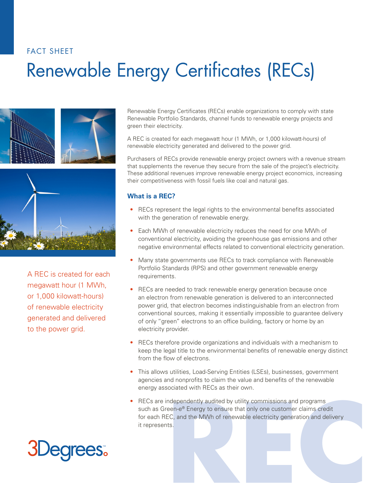# Renewable Energy Certificates (RECs) FACT SHEET





A REC is created for each megawatt hour (1 MWh, or 1,000 kilowatt-hours) of renewable electricity generated and delivered to the power grid.

Renewable Energy Certificates (RECs) enable organizations to comply with state Renewable Portfolio Standards, channel funds to renewable energy projects and green their electricity.

A REC is created for each megawatt hour (1 MWh, or 1,000 kilowatt-hours) of renewable electricity generated and delivered to the power grid.

Purchasers of RECs provide renewable energy project owners with a revenue stream that supplements the revenue they secure from the sale of the project's electricity. These additional revenues improve renewable energy project economics, increasing their competitiveness with fossil fuels like coal and natural gas.

#### **What is a REC?**

- RECs represent the legal rights to the environmental benefits associated with the generation of renewable energy.
- Each MWh of renewable electricity reduces the need for one MWh of conventional electricity, avoiding the greenhouse gas emissions and other negative environmental effects related to conventional electricity generation.
- Many state governments use RECs to track compliance with Renewable Portfolio Standards (RPS) and other government renewable energy requirements.
- RECs are needed to track renewable energy generation because once an electron from renewable generation is delivered to an interconnected power grid, that electron becomes indistinguishable from an electron from conventional sources, making it essentially impossible to guarantee delivery of only "green" electrons to an office building, factory or home by an electricity provider.
- RECs therefore provide organizations and individuals with a mechanism to keep the legal title to the environmental benefits of renewable energy distinct from the flow of electrons.
- This allows utilities, Load-Serving Entities (LSEs), businesses, government agencies and nonprofits to claim the value and benefits of the renewable energy associated with RECs as their own.
- ndependently audited by utility commissions and programs<br>
een-e® Energy to ensure that only one customer claims credit<br>
EC, and the MWh of renewable electricity generation and delivery<br>
ts. • RECs are independently audited by utility commissions and programs such as Green-e<sup>®</sup> Energy to ensure that only one customer claims credit for each REC, and the MWh of renewable electricity generation and delivery it represents.